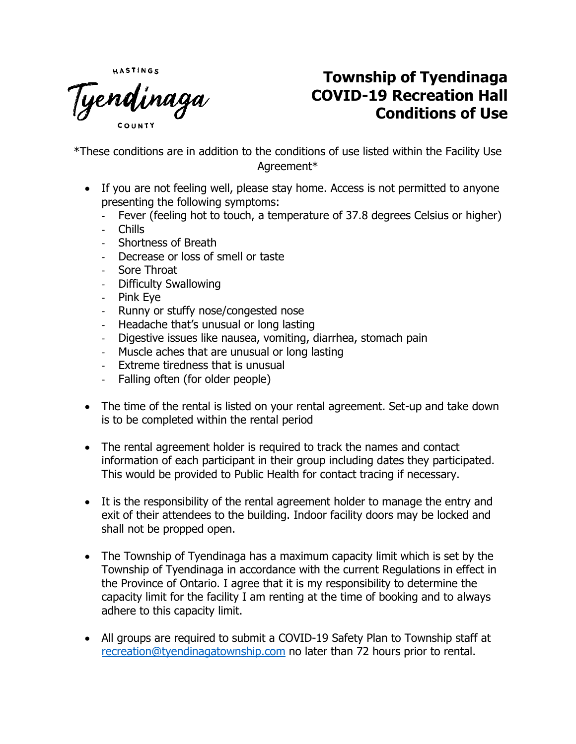HASTINGS

Tyendinaga

## **Township of Tyendinaga COVID-19 Recreation Hall Conditions of Use**

\*These conditions are in addition to the conditions of use listed within the Facility Use Agreement\*

- If you are not feeling well, please stay home. Access is not permitted to anyone presenting the following symptoms:
	- Fever (feeling hot to touch, a temperature of 37.8 degrees Celsius or higher)
	- Chills
	- Shortness of Breath
	- Decrease or loss of smell or taste
	- Sore Throat
	- Difficulty Swallowing
	- Pink Eye
	- Runny or stuffy nose/congested nose
	- Headache that's unusual or long lasting
	- Digestive issues like nausea, vomiting, diarrhea, stomach pain
	- Muscle aches that are unusual or long lasting
	- Extreme tiredness that is unusual
	- Falling often (for older people)
- The time of the rental is listed on your rental agreement. Set-up and take down is to be completed within the rental period
- The rental agreement holder is required to track the names and contact information of each participant in their group including dates they participated. This would be provided to Public Health for contact tracing if necessary.
- It is the responsibility of the rental agreement holder to manage the entry and exit of their attendees to the building. Indoor facility doors may be locked and shall not be propped open.
- The Township of Tyendinaga has a maximum capacity limit which is set by the Township of Tyendinaga in accordance with the current Regulations in effect in the Province of Ontario. I agree that it is my responsibility to determine the capacity limit for the facility I am renting at the time of booking and to always adhere to this capacity limit.
- All groups are required to submit a COVID-19 Safety Plan to Township staff at [recreation@tyendinagatownship.com](mailto:recreation@tyendinagatownship.com) no later than 72 hours prior to rental.